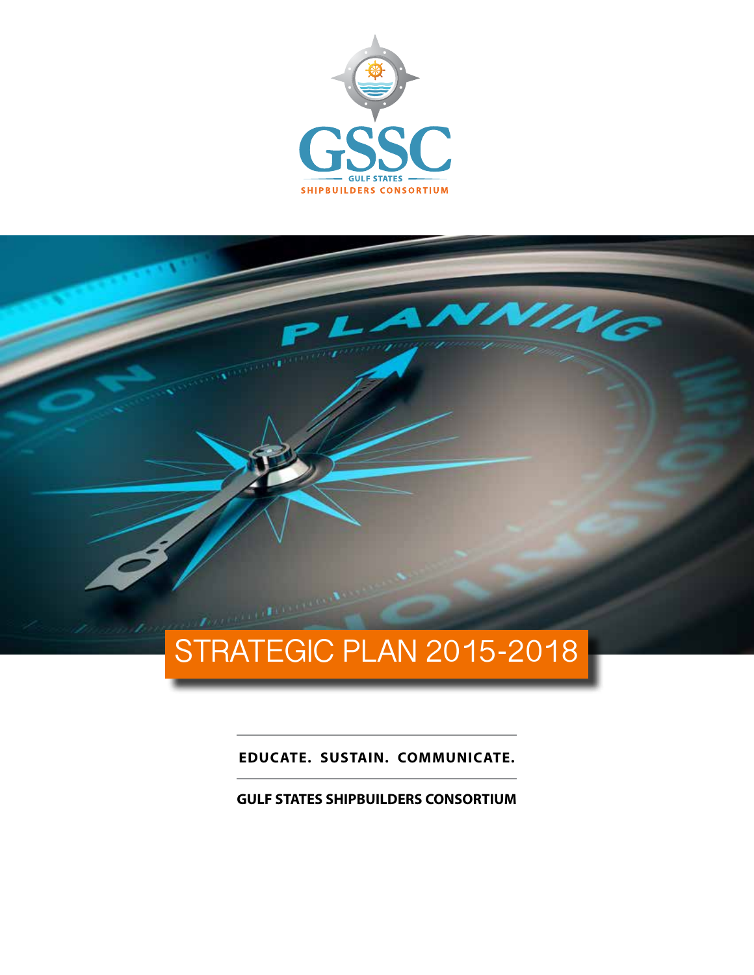



**EDUCATE. SUSTAIN. COMMUNICATE.**

**GULF STATES SHIPBUILDERS CONSORTIUM**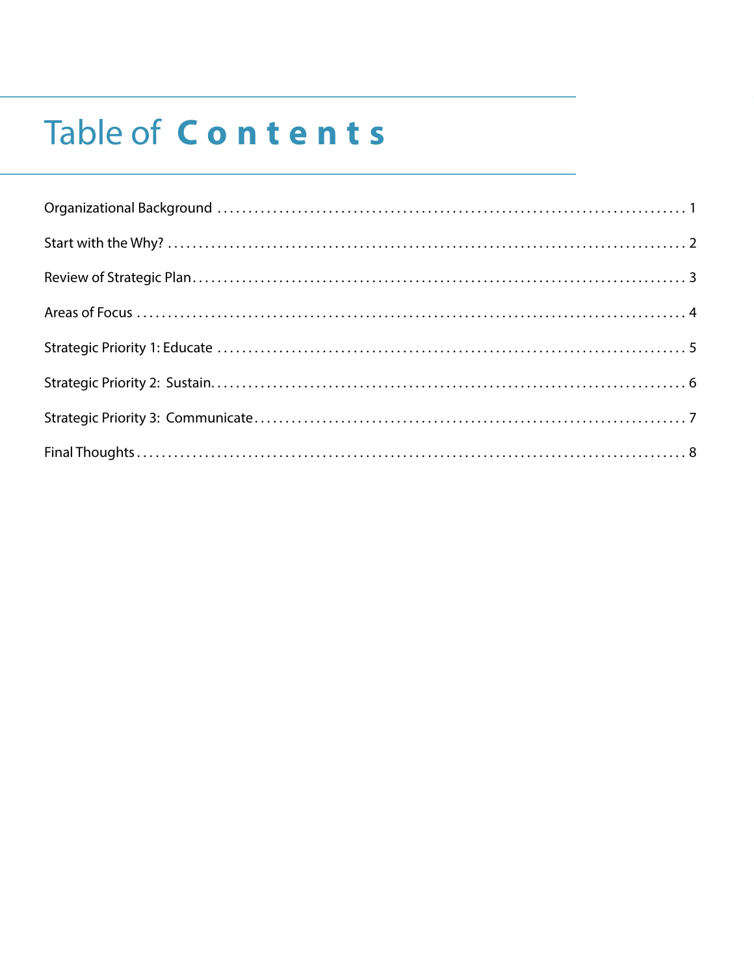# Table of Contents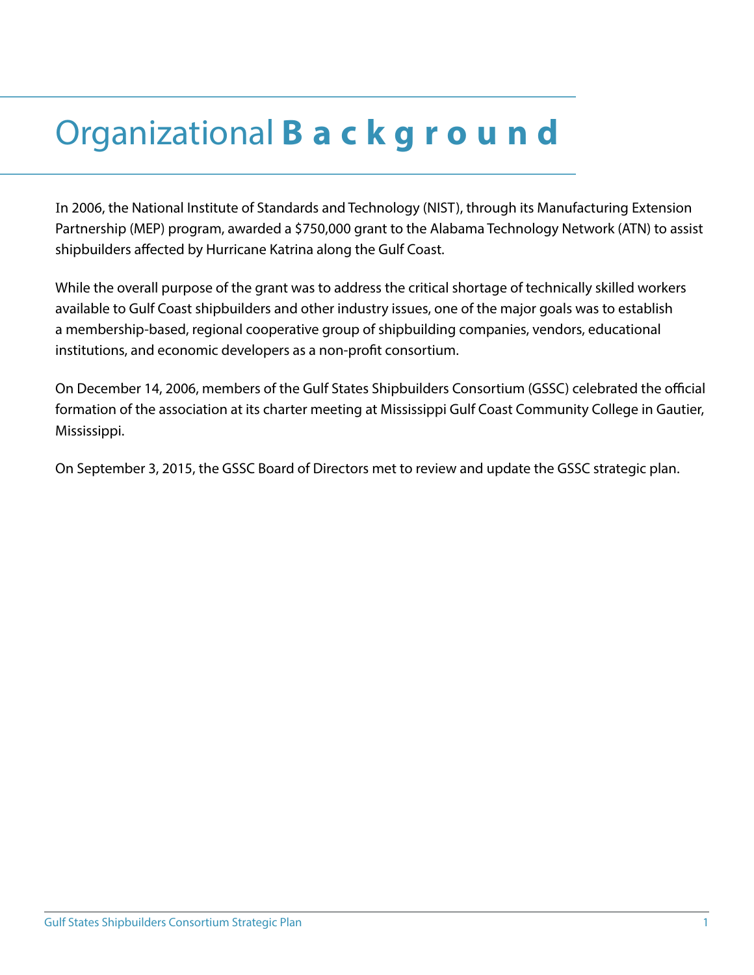## Organizational **Background**

In 2006, the National Institute of Standards and Technology (NIST), through its Manufacturing Extension Partnership (MEP) program, awarded a \$750,000 grant to the Alabama Technology Network (ATN) to assist shipbuilders affected by Hurricane Katrina along the Gulf Coast.

While the overall purpose of the grant was to address the critical shortage of technically skilled workers available to Gulf Coast shipbuilders and other industry issues, one of the major goals was to establish a membership-based, regional cooperative group of shipbuilding companies, vendors, educational institutions, and economic developers as a non-profit consortium.

On December 14, 2006, members of the Gulf States Shipbuilders Consortium (GSSC) celebrated the official formation of the association at its charter meeting at Mississippi Gulf Coast Community College in Gautier, Mississippi.

On September 3, 2015, the GSSC Board of Directors met to review and update the GSSC strategic plan.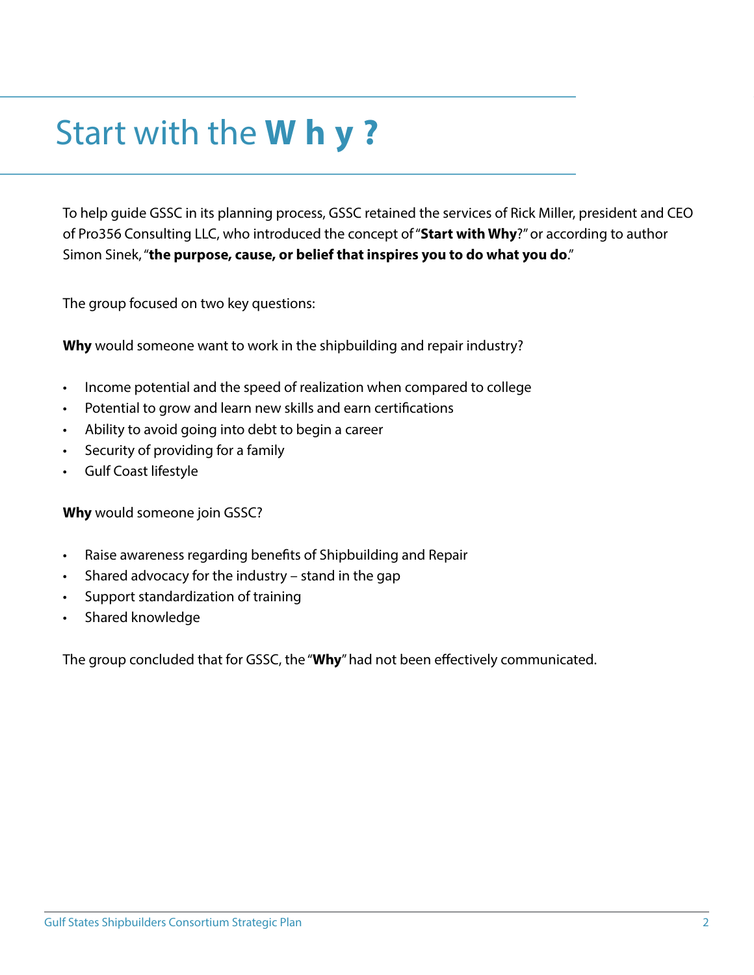## Start with the **Why?**

To help guide GSSC in its planning process, GSSC retained the services of Rick Miller, president and CEO of Pro356 Consulting LLC, who introduced the concept of "**Start with Why**?" or according to author Simon Sinek, "**the purpose, cause, or belief that inspires you to do what you do**."

The group focused on two key questions:

**Why** would someone want to work in the shipbuilding and repair industry?

- Income potential and the speed of realization when compared to college
- Potential to grow and learn new skills and earn certifications
- Ability to avoid going into debt to begin a career
- Security of providing for a family
- Gulf Coast lifestyle

**Why** would someone join GSSC?

- Raise awareness regarding benefits of Shipbuilding and Repair
- Shared advocacy for the industry stand in the gap
- Support standardization of training
- Shared knowledge

The group concluded that for GSSC, the "**Why**" had not been effectively communicated.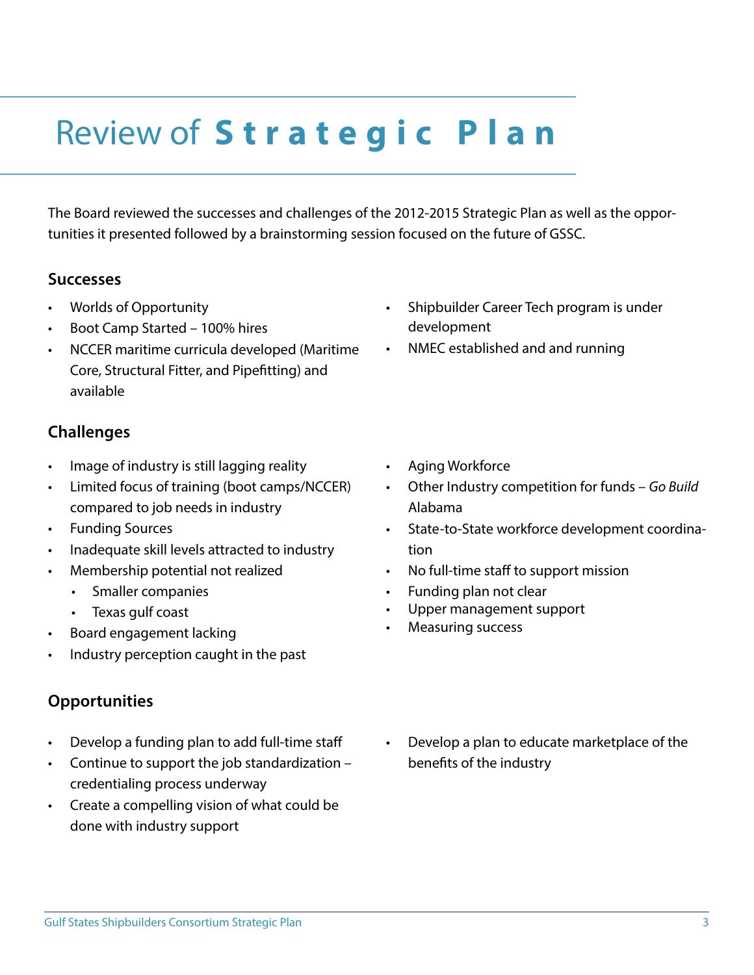## Review of **S t r a t e g i c P l a n**

The Board reviewed the successes and challenges of the 2012-2015 Strategic Plan as well as the opportunities it presented followed by a brainstorming session focused on the future of GSSC.

#### **Successes**

- Worlds of Opportunity
- Boot Camp Started 100% hires
- NCCER maritime curricula developed (Maritime Core, Structural Fitter, and Pipefitting) and available

#### **Challenges**

- Image of industry is still lagging reality
- Limited focus of training (boot camps/NCCER) compared to job needs in industry
- Funding Sources
- Inadequate skill levels attracted to industry
- Membership potential not realized
	- Smaller companies
	- Texas gulf coast
- Board engagement lacking
- Industry perception caught in the past

#### **Opportunities**

- Develop a funding plan to add full-time staff
- Continue to support the job standardization credentialing process underway
- Create a compelling vision of what could be done with industry support
- Shipbuilder Career Tech program is under development
- NMEC established and and running

- Aging Workforce
- Other Industry competition for funds *Go Build* Alabama
- State-to-State workforce development coordination
- No full-time staff to support mission
- Funding plan not clear
- Upper management support
- Measuring success
- Develop a plan to educate marketplace of the benefits of the industry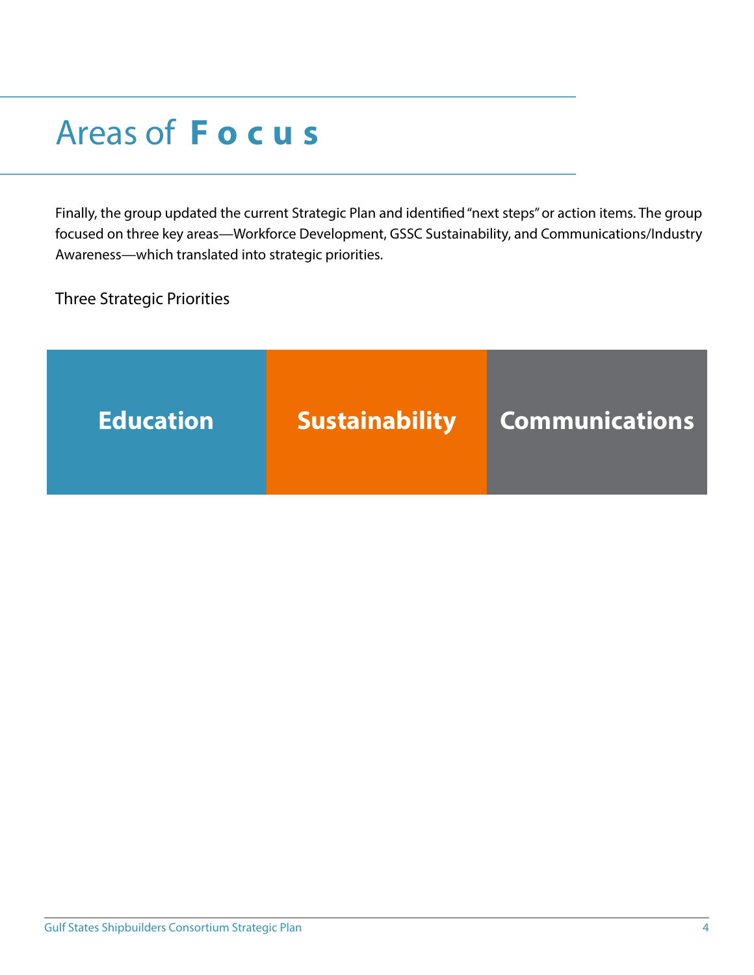### Areas of **Focus**

Finally, the group updated the current Strategic Plan and identified "next steps" or action items. The group focused on three key areas—Workforce Development, GSSC Sustainability, and Communications/Industry Awareness—which translated into strategic priorities.

Three Strategic Priorities

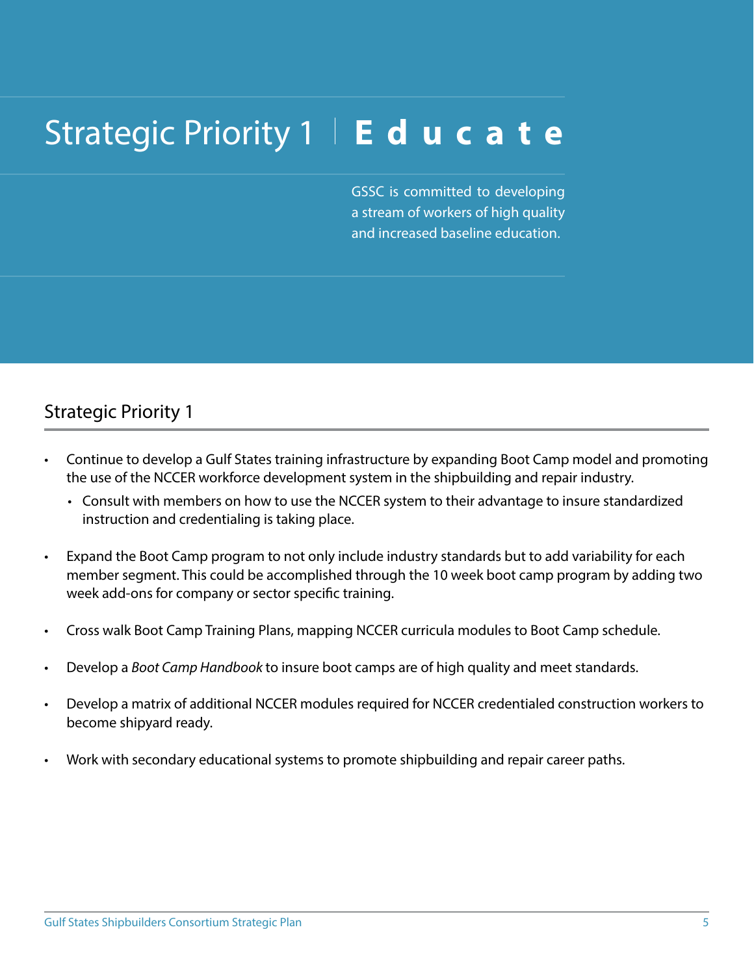### Strategic Priority 1 Educate

GSSC is committed to developing a stream of workers of high quality and increased baseline education.

### Strategic Priority 1

- Continue to develop a Gulf States training infrastructure by expanding Boot Camp model and promoting the use of the NCCER workforce development system in the shipbuilding and repair industry.
	- Consult with members on how to use the NCCER system to their advantage to insure standardized instruction and credentialing is taking place.
- Expand the Boot Camp program to not only include industry standards but to add variability for each member segment. This could be accomplished through the 10 week boot camp program by adding two week add-ons for company or sector specific training.
- Cross walk Boot Camp Training Plans, mapping NCCER curricula modules to Boot Camp schedule.
- Develop a *Boot Camp Handbook* to insure boot camps are of high quality and meet standards.
- Develop a matrix of additional NCCER modules required for NCCER credentialed construction workers to become shipyard ready.
- Work with secondary educational systems to promote shipbuilding and repair career paths.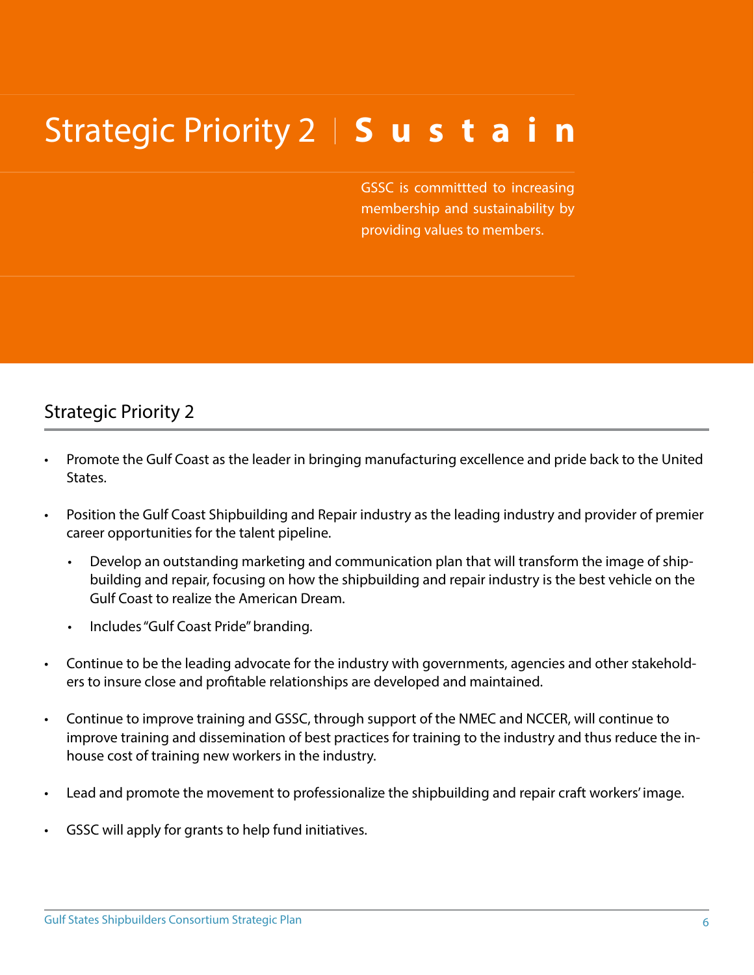## Strategic Priority 2 | Sustain

GSSC is committted to increasing membership and sustainability by providing values to members.

#### Strategic Priority 2

- Promote the Gulf Coast as the leader in bringing manufacturing excellence and pride back to the United States.
- Position the Gulf Coast Shipbuilding and Repair industry as the leading industry and provider of premier career opportunities for the talent pipeline.
	- Develop an outstanding marketing and communication plan that will transform the image of shipbuilding and repair, focusing on how the shipbuilding and repair industry is the best vehicle on the Gulf Coast to realize the American Dream.
	- Includes "Gulf Coast Pride" branding.
- Continue to be the leading advocate for the industry with governments, agencies and other stakeholders to insure close and profitable relationships are developed and maintained.
- Continue to improve training and GSSC, through support of the NMEC and NCCER, will continue to improve training and dissemination of best practices for training to the industry and thus reduce the inhouse cost of training new workers in the industry.
- Lead and promote the movement to professionalize the shipbuilding and repair craft workers' image.
- GSSC will apply for grants to help fund initiatives.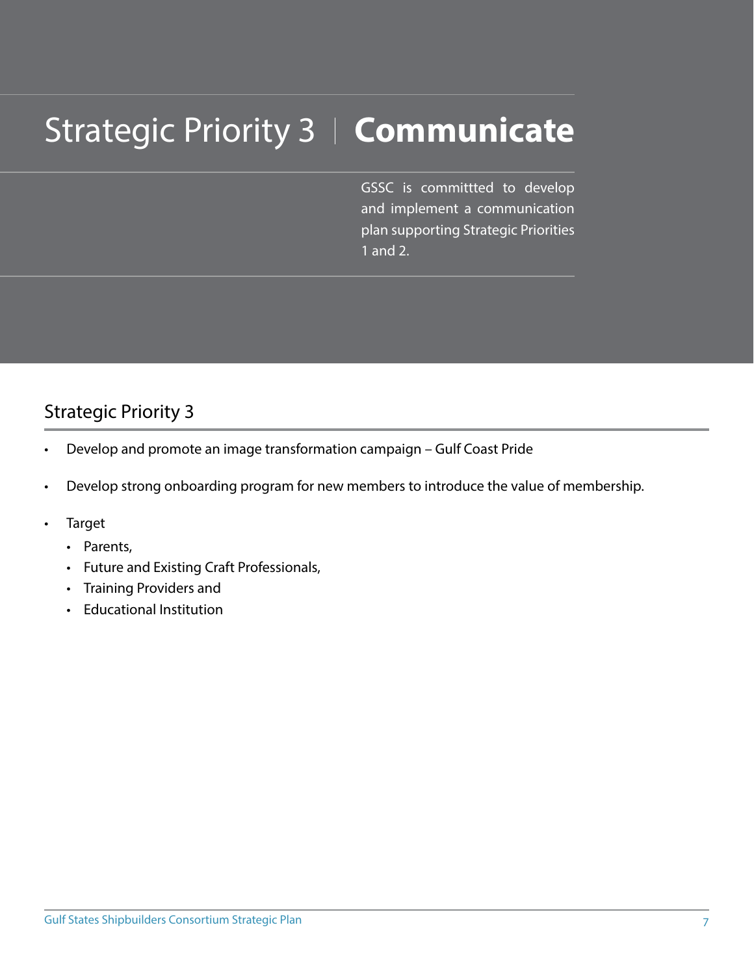# **Strategic Priority 3 | Communicate**

GSSC is committted to develop and implement a communication plan supporting Strategic Priorities 1 and 2.

### Strategic Priority 3

- Develop and promote an image transformation campaign Gulf Coast Pride
- Develop strong onboarding program for new members to introduce the value of membership.
- **Target** 
	- Parents,
	- Future and Existing Craft Professionals,
	- Training Providers and
	- Educational Institution